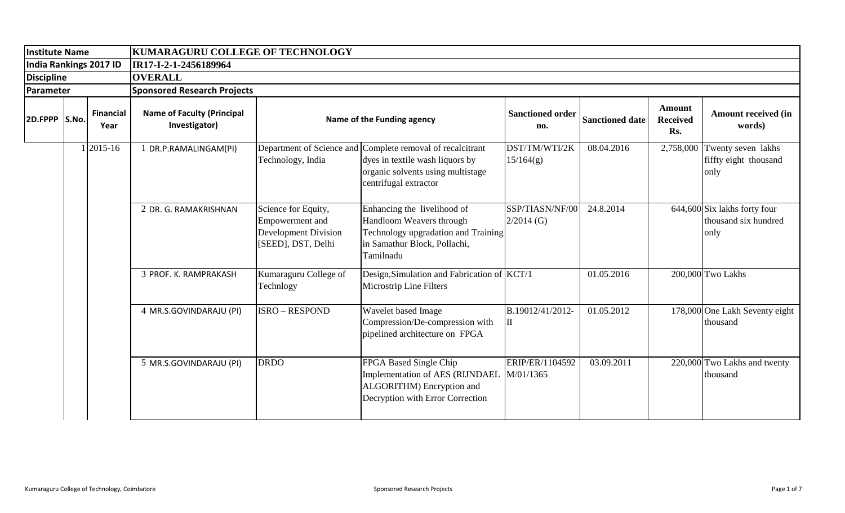| Institute Name                              |                                           |             |                                                    | <b>KUMARAGURU COLLEGE OF TECHNOLOGY</b>                                                     |                                                                                                                                                             |                                 |                        |                                         |                                                                |  |  |  |
|---------------------------------------------|-------------------------------------------|-------------|----------------------------------------------------|---------------------------------------------------------------------------------------------|-------------------------------------------------------------------------------------------------------------------------------------------------------------|---------------------------------|------------------------|-----------------------------------------|----------------------------------------------------------------|--|--|--|
| India Rankings 2017 ID<br><b>Discipline</b> |                                           |             | IR17-I-2-1-2456189964                              |                                                                                             |                                                                                                                                                             |                                 |                        |                                         |                                                                |  |  |  |
|                                             |                                           |             | <b>OVERALL</b>                                     |                                                                                             |                                                                                                                                                             |                                 |                        |                                         |                                                                |  |  |  |
| Parameter                                   |                                           |             | <b>Sponsored Research Projects</b>                 |                                                                                             |                                                                                                                                                             |                                 |                        |                                         |                                                                |  |  |  |
|                                             | <b>Financial</b><br>2D.FPPP S.No.<br>Year |             | <b>Name of Faculty (Principal</b><br>Investigator) | Name of the Funding agency                                                                  |                                                                                                                                                             | <b>Sanctioned order</b><br>no.  | <b>Sanctioned date</b> | <b>Amount</b><br><b>Received</b><br>Rs. | <b>Amount received (in</b><br>words)                           |  |  |  |
|                                             |                                           | $1 2015-16$ | DR.P.RAMALINGAM(PI)                                | Technology, India                                                                           | Department of Science and Complete removal of recalcitrant<br>dyes in textile wash liquors by<br>organic solvents using multistage<br>centrifugal extractor | DST/TM/WTI/2K<br>15/164(g)      | 08.04.2016             | 2,758,000                               | Twenty seven lakhs<br>fiffty eight thousand<br>only            |  |  |  |
|                                             |                                           |             | 2 DR. G. RAMAKRISHNAN                              | Science for Equity,<br>Empowerment and<br><b>Development Division</b><br>[SEED], DST, Delhi | Enhancing the livelihood of<br>Handloom Weavers through<br>Technology upgradation and Training<br>in Samathur Block, Pollachi,<br>Tamilnadu                 | SSP/TIASN/NF/00<br>$2/2014$ (G) | 24.8.2014              |                                         | $644,600$ Six lakhs forty four<br>thousand six hundred<br>only |  |  |  |
|                                             |                                           |             | 3 PROF. K. RAMPRAKASH                              | Kumaraguru College of<br>Technlogy                                                          | Design, Simulation and Fabrication of KCT/1<br>Microstrip Line Filters                                                                                      |                                 | 01.05.2016             |                                         | 200,000 Two Lakhs                                              |  |  |  |
|                                             |                                           |             | 4 MR.S.GOVINDARAJU (PI)                            | <b>ISRO - RESPOND</b>                                                                       | Wavelet based Image<br>Compression/De-compression with<br>pipelined architecture on FPGA                                                                    | B.19012/41/2012-<br>П           | 01.05.2012             |                                         | 178,000 One Lakh Seventy eight<br>thousand                     |  |  |  |
|                                             |                                           |             | 5 MR.S.GOVINDARAJU (PI)                            | <b>DRDO</b>                                                                                 | FPGA Based Single Chip<br>Implementation of AES (RIJNDAEL<br>ALGORITHM) Encryption and<br>Decryption with Error Correction                                  | ERIP/ER/1104592<br>M/01/1365    | 03.09.2011             |                                         | 220,000 Two Lakhs and twenty<br>thousand                       |  |  |  |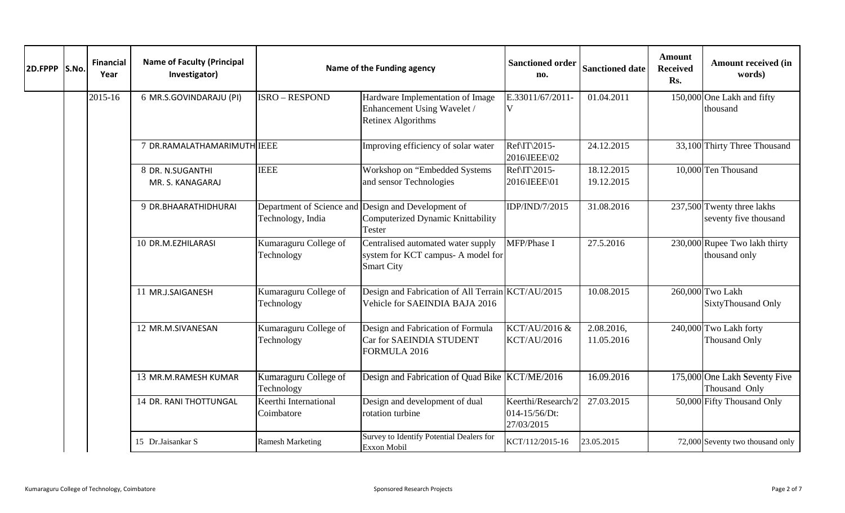| 2D.FPPP S.No. | <b>Financial</b><br>Year | <b>Name of Faculty (Principal</b><br>Investigator) | Name of the Funding agency                     | <b>Sanctioned order</b><br>no.                                                                | <b>Sanctioned date</b>                            | Amount<br><b>Received</b><br>Rs. | <b>Amount received (in</b><br>words) |                                                     |
|---------------|--------------------------|----------------------------------------------------|------------------------------------------------|-----------------------------------------------------------------------------------------------|---------------------------------------------------|----------------------------------|--------------------------------------|-----------------------------------------------------|
|               | 2015-16                  | 6 MR.S.GOVINDARAJU (PI)                            | <b>ISRO - RESPOND</b>                          | Hardware Implementation of Image<br>Enhancement Using Wavelet /<br>Retinex Algorithms         | E.33011/67/2011-<br>V                             | 01.04.2011                       |                                      | 150,000 One Lakh and fifty<br>thousand              |
|               |                          | 7 DR.RAMALATHAMARIMUTH IEEE                        |                                                | Improving efficiency of solar water                                                           | Ref\IT\2015-<br>2016\IEEE\02                      | 24.12.2015                       |                                      | 33,100 Thirty Three Thousand                        |
|               |                          | 8 DR. N.SUGANTHI<br>MR. S. KANAGARAJ               | <b>IEEE</b>                                    | Workshop on "Embedded Systems<br>and sensor Technologies                                      | Ref\IT\2015-<br>2016\IEEE\01                      | 18.12.2015<br>19.12.2015         |                                      | 10,000 Ten Thousand                                 |
|               |                          | 9 DR.BHAARATHIDHURAI                               | Department of Science and<br>Technology, India | Design and Development of<br>Computerized Dynamic Knittability<br>Tester                      | IDP/IND/7/2015                                    | 31.08.2016                       |                                      | 237,500 Twenty three lakhs<br>seventy five thousand |
|               |                          | 10 DR.M.EZHILARASI                                 | Kumaraguru College of<br>Technology            | Centralised automated water supply<br>system for KCT campus- A model for<br><b>Smart City</b> | MFP/Phase I                                       | 27.5.2016                        |                                      | 230,000 Rupee Two lakh thirty<br>thousand only      |
|               |                          | 11 MR.J.SAIGANESH                                  | Kumaraguru College of<br>Technology            | Design and Fabrication of All Terrain KCT/AU/2015<br>Vehicle for SAEINDIA BAJA 2016           |                                                   | 10.08.2015                       |                                      | 260,000 Two Lakh<br>SixtyThousand Only              |
|               |                          | 12 MR.M.SIVANESAN                                  | Kumaraguru College of<br>Technology            | Design and Fabrication of Formula<br>Car for SAEINDIA STUDENT<br>FORMULA 2016                 | KCT/AU/2016 &<br><b>KCT/AU/2016</b>               | 2.08.2016,<br>11.05.2016         |                                      | 240,000 Two Lakh forty<br>Thousand Only             |
|               |                          | 13 MR.M.RAMESH KUMAR                               | Kumaraguru College of<br>Technology            | Design and Fabrication of Quad Bike KCT/ME/2016                                               |                                                   | 16.09.2016                       |                                      | 175,000 One Lakh Seventy Five<br>Thousand Only      |
|               |                          | 14 DR. RANI THOTTUNGAL                             | Keerthi International<br>Coimbatore            | Design and development of dual<br>rotation turbine                                            | Keerthi/Research/2<br>014-15/56/Dt:<br>27/03/2015 | 27.03.2015                       |                                      | 50,000 Fifty Thousand Only                          |
|               |                          | 15 Dr.Jaisankar S                                  | <b>Ramesh Marketing</b>                        | Survey to Identify Potential Dealers for<br>Exxon Mobil                                       | KCT/112/2015-16                                   | 23.05.2015                       |                                      | 72,000 Seventy two thousand only                    |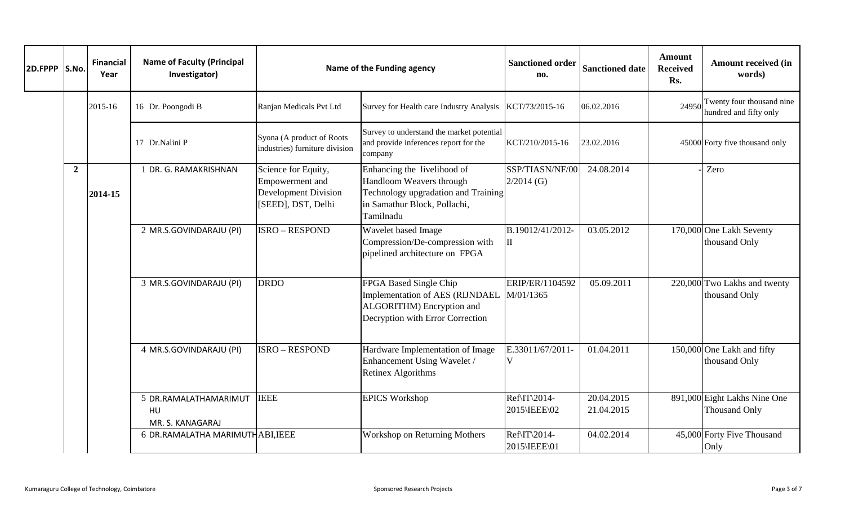| 2D.FPPP S.No. |                | <b>Financial</b><br>Year | <b>Name of Faculty (Principal</b><br>Investigator) | Name of the Funding agency                                                                         | <b>Sanctioned order</b><br>no.                                                                                                              | <b>Sanctioned date</b>          | Amount<br><b>Received</b><br>Rs. | <b>Amount received (in</b><br>words) |                                                      |
|---------------|----------------|--------------------------|----------------------------------------------------|----------------------------------------------------------------------------------------------------|---------------------------------------------------------------------------------------------------------------------------------------------|---------------------------------|----------------------------------|--------------------------------------|------------------------------------------------------|
|               |                | 2015-16                  | 16 Dr. Poongodi B                                  | Ranjan Medicals Pvt Ltd                                                                            | Survey for Health care Industry Analysis                                                                                                    | KCT/73/2015-16                  | 06.02.2016                       | 24950                                | Twenty four thousand nine<br>hundred and fifty only  |
|               |                |                          | 17 Dr.Nalini P                                     | Syona (A product of Roots<br>industries) furniture division                                        | Survey to understand the market potential<br>and provide inferences report for the<br>company                                               | KCT/210/2015-16                 | 23.02.2016                       |                                      | 45000 Forty five thousand only                       |
|               | $\overline{2}$ | 2014-15                  | 1 DR. G. RAMAKRISHNAN                              | Science for Equity,<br><b>Empowerment</b> and<br><b>Development Division</b><br>[SEED], DST, Delhi | Enhancing the livelihood of<br>Handloom Weavers through<br>Technology upgradation and Training<br>in Samathur Block, Pollachi,<br>Tamilnadu | SSP/TIASN/NF/00<br>$2/2014$ (G) | 24.08.2014                       |                                      | Zero                                                 |
|               |                |                          | 2 MR.S.GOVINDARAJU (PI)                            | <b>ISRO - RESPOND</b>                                                                              | Wavelet based Image<br>Compression/De-compression with<br>pipelined architecture on FPGA                                                    | B.19012/41/2012-<br>Ш           | 03.05.2012                       |                                      | 170,000 One Lakh Seventy<br>thousand Only            |
|               |                |                          | 3 MR.S.GOVINDARAJU (PI)                            | <b>DRDO</b>                                                                                        | FPGA Based Single Chip<br>Implementation of AES (RIJNDAEL<br>ALGORITHM) Encryption and<br>Decryption with Error Correction                  | ERIP/ER/1104592<br>M/01/1365    | 05.09.2011                       |                                      | 220,000 Two Lakhs and twenty<br>thousand Only        |
|               |                |                          | 4 MR.S.GOVINDARAJU (PI)                            | <b>ISRO - RESPOND</b>                                                                              | Hardware Implementation of Image<br>Enhancement Using Wavelet /<br><b>Retinex Algorithms</b>                                                | E.33011/67/2011<br>V            | 01.04.2011                       |                                      | 150,000 One Lakh and fifty<br>thousand Only          |
|               |                |                          | 5 DR.RAMALATHAMARIMUT<br>HU<br>MR. S. KANAGARAJ    | <b>IEEE</b>                                                                                        | <b>EPICS Workshop</b>                                                                                                                       | Ref\IT\2014-<br>2015\IEEE\02    | 20.04.2015<br>21.04.2015         |                                      | 891,000 Eight Lakhs Nine One<br><b>Thousand Only</b> |
|               |                |                          | 6 DR.RAMALATHA MARIMUTHABI, IEEE                   |                                                                                                    | <b>Workshop on Returning Mothers</b>                                                                                                        | Ref\IT\2014-<br>2015\IEEE\01    | 04.02.2014                       |                                      | 45,000 Forty Five Thousand<br>Only                   |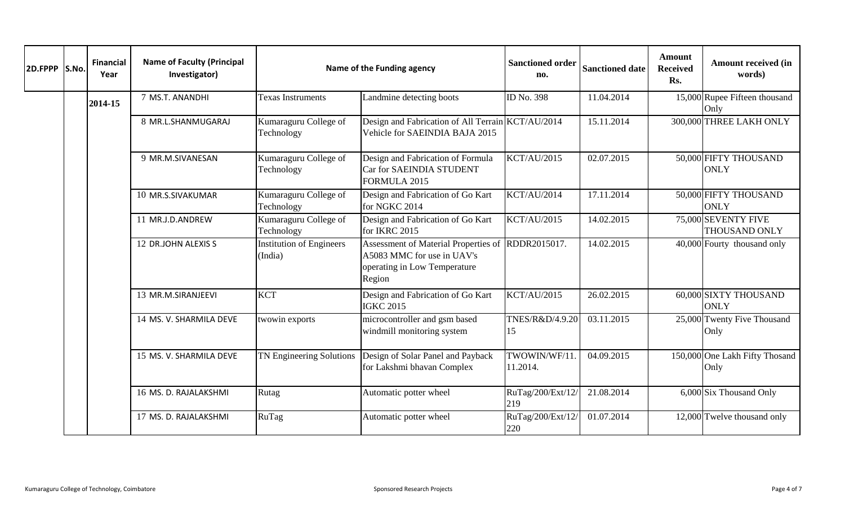| 2D.FPPP S.No. | <b>Financial</b><br>Year | <b>Name of Faculty (Principal</b><br>Investigator) |                                            | Name of the Funding agency                                                                                                | <b>Sanctioned order</b><br>no. | <b>Sanctioned date</b> | Amount<br><b>Received</b><br>Rs. | <b>Amount received (in</b><br>words)        |
|---------------|--------------------------|----------------------------------------------------|--------------------------------------------|---------------------------------------------------------------------------------------------------------------------------|--------------------------------|------------------------|----------------------------------|---------------------------------------------|
|               | 2014-15                  | 7 MS.T. ANANDHI                                    | <b>Texas Instruments</b>                   | Landmine detecting boots                                                                                                  | ID No. 398                     | 11.04.2014             |                                  | 15,000 Rupee Fifteen thousand<br>Only       |
|               |                          | 8 MR.L.SHANMUGARAJ                                 | Kumaraguru College of<br>Technology        | Design and Fabrication of All Terrain KCT/AU/2014<br>Vehicle for SAEINDIA BAJA 2015                                       |                                | 15.11.2014             |                                  | 300,000 THREE LAKH ONLY                     |
|               |                          | 9 MR.M.SIVANESAN                                   | Kumaraguru College of<br>Technology        | Design and Fabrication of Formula<br>Car for SAEINDIA STUDENT<br>FORMULA 2015                                             | <b>KCT/AU/2015</b>             | 02.07.2015             |                                  | 50,000 FIFTY THOUSAND<br><b>ONLY</b>        |
|               |                          | 10 MR.S.SIVAKUMAR                                  | Kumaraguru College of<br>Technology        | Design and Fabrication of Go Kart<br>for NGKC 2014                                                                        | <b>KCT/AU/2014</b>             | 17.11.2014             |                                  | 50,000 FIFTY THOUSAND<br><b>ONLY</b>        |
|               |                          | 11 MR.J.D.ANDREW                                   | Kumaraguru College of<br>Technology        | Design and Fabrication of Go Kart<br>for IKRC 2015                                                                        | <b>KCT/AU/2015</b>             | 14.02.2015             |                                  | 75,000 SEVENTY FIVE<br><b>THOUSAND ONLY</b> |
|               |                          | 12 DR.JOHN ALEXIS S                                | <b>Institution of Engineers</b><br>(India) | Assessment of Material Properties of RDDR2015017.<br>A5083 MMC for use in UAV's<br>operating in Low Temperature<br>Region |                                | 14.02.2015             |                                  | 40,000 Fourty thousand only                 |
|               |                          | 13 MR.M.SIRANJEEVI                                 | <b>KCT</b>                                 | Design and Fabrication of Go Kart<br><b>IGKC 2015</b>                                                                     | <b>KCT/AU/2015</b>             | 26.02.2015             |                                  | 60,000 SIXTY THOUSAND<br><b>ONLY</b>        |
|               |                          | 14 MS. V. SHARMILA DEVE                            | twowin exports                             | microcontroller and gsm based<br>windmill monitoring system                                                               | TNES/R&D/4.9.20<br>15          | 03.11.2015             |                                  | 25,000 Twenty Five Thousand<br>Only         |
|               |                          | 15 MS. V. SHARMILA DEVE                            | TN Engineering Solutions                   | Design of Solar Panel and Payback<br>for Lakshmi bhavan Complex                                                           | TWOWIN/WF/11<br>11.2014.       | 04.09.2015             |                                  | 150,000 One Lakh Fifty Thosand<br>Only      |
|               |                          | 16 MS. D. RAJALAKSHMI                              | Rutag                                      | Automatic potter wheel                                                                                                    | RuTag/200/Ext/12/<br>219       | 21.08.2014             |                                  | $\overline{6,000}$ Six Thousand Only        |
|               |                          | 17 MS. D. RAJALAKSHMI                              | RuTag                                      | Automatic potter wheel                                                                                                    | RuTag/200/Ext/12/<br>220       | 01.07.2014             |                                  | $12,000$ Twelve thousand only               |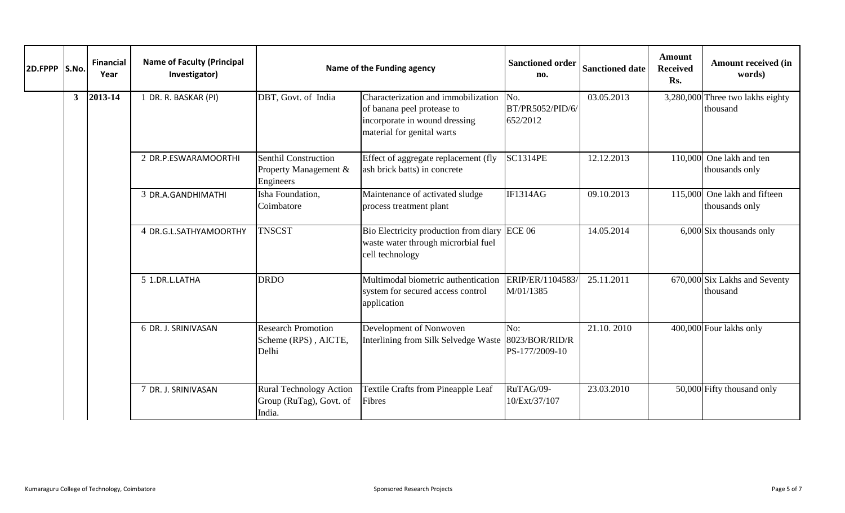| 2D.FPPP S.No. |              | <b>Financial</b><br>Year | <b>Name of Faculty (Principal</b><br>Investigator) | Name of the Funding agency                                          | <b>Sanctioned order</b><br>no.                                                                                                   | <b>Sanctioned date</b>              | <b>Amount</b><br><b>Received</b><br>Rs. | <b>Amount received (in</b><br>words) |                                              |
|---------------|--------------|--------------------------|----------------------------------------------------|---------------------------------------------------------------------|----------------------------------------------------------------------------------------------------------------------------------|-------------------------------------|-----------------------------------------|--------------------------------------|----------------------------------------------|
|               | $\mathbf{3}$ | 2013-14                  | 1 DR. R. BASKAR (PI)                               | DBT, Govt. of India                                                 | Characterization and immobilization<br>of banana peel protease to<br>incorporate in wound dressing<br>material for genital warts | No.<br>BT/PR5052/PID/6/<br>652/2012 | 03.05.2013                              |                                      | 3,280,000 Three two lakhs eighty<br>thousand |
|               |              |                          | 2 DR.P.ESWARAMOORTHI                               | <b>Senthil Construction</b><br>Property Management &<br>Engineers   | Effect of aggregate replacement (fly<br>ash brick batts) in concrete                                                             | <b>SC1314PE</b>                     | 12.12.2013                              | 110,000                              | One lakh and ten<br>thousands only           |
|               |              |                          | 3 DR.A.GANDHIMATHI                                 | Isha Foundation,<br>Coimbatore                                      | Maintenance of activated sludge<br>process treatment plant                                                                       | <b>IF1314AG</b>                     | 09.10.2013                              | 115,000                              | One lakh and fifteen<br>thousands only       |
|               |              |                          | 4 DR.G.L.SATHYAMOORTHY                             | <b>TNSCST</b>                                                       | Bio Electricity production from diary<br>waste water through microrbial fuel<br>cell technology                                  | <b>ECE 06</b>                       | 14.05.2014                              |                                      | $6,000$ Six thousands only                   |
|               |              |                          | 5 1.DR.L.LATHA                                     | <b>DRDO</b>                                                         | Multimodal biometric authentication<br>system for secured access control<br>application                                          | ERIP/ER/1104583<br>M/01/1385        | 25.11.2011                              |                                      | 670,000 Six Lakhs and Seventy<br>thousand    |
|               |              |                          | 6 DR. J. SRINIVASAN                                | <b>Research Promotion</b><br>Scheme (RPS), AICTE,<br>Delhi          | Development of Nonwoven<br>Interlining from Silk Selvedge Waste 8023/BOR/RID/R                                                   | No:<br>PS-177/2009-10               | 21.10.2010                              |                                      | 400,000 Four lakhs only                      |
|               |              |                          | 7 DR. J. SRINIVASAN                                | <b>Rural Technology Action</b><br>Group (RuTag), Govt. of<br>India. | <b>Textile Crafts from Pineapple Leaf</b><br>Fibres                                                                              | RuTAG/09-<br>10/Ext/37/107          | 23.03.2010                              |                                      | 50,000 Fifty thousand only                   |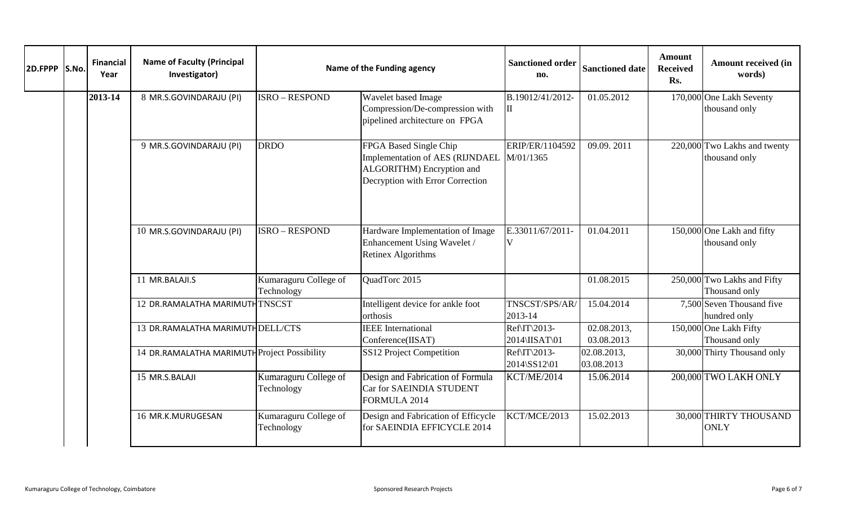| 2D.FPPP S.No. | <b>Financial</b><br>Year | <b>Name of Faculty (Principal</b><br>Investigator) | Name of the Funding agency          | <b>Sanctioned order</b><br>no.                                                                                                       | <b>Sanctioned date</b>             | <b>Amount</b><br><b>Received</b><br>Rs. | <b>Amount received (in</b><br>words) |                                               |
|---------------|--------------------------|----------------------------------------------------|-------------------------------------|--------------------------------------------------------------------------------------------------------------------------------------|------------------------------------|-----------------------------------------|--------------------------------------|-----------------------------------------------|
|               | 2013-14                  | 8 MR.S.GOVINDARAJU (PI)                            | <b>ISRO - RESPOND</b>               | Wavelet based Image<br>Compression/De-compression with<br>pipelined architecture on FPGA                                             | B.19012/41/2012-<br>$\rm II$       | 01.05.2012                              |                                      | 170,000 One Lakh Seventy<br>thousand only     |
|               |                          | 9 MR.S.GOVINDARAJU (PI)                            | <b>DRDO</b>                         | FPGA Based Single Chip<br>Implementation of AES (RIJNDAEL M/01/1365<br>ALGORITHM) Encryption and<br>Decryption with Error Correction | ERIP/ER/1104592                    | 09.09.2011                              |                                      | 220,000 Two Lakhs and twenty<br>thousand only |
|               |                          | 10 MR.S.GOVINDARAJU (PI)                           | <b>ISRO - RESPOND</b>               | Hardware Implementation of Image<br>Enhancement Using Wavelet /<br>Retinex Algorithms                                                | E.33011/67/2011-<br>$\overline{V}$ | 01.04.2011                              |                                      | 150,000 One Lakh and fifty<br>thousand only   |
|               |                          | 11 MR.BALAJI.S                                     | Kumaraguru College of<br>Technology | QuadTorc 2015                                                                                                                        |                                    | 01.08.2015                              |                                      | 250,000 Two Lakhs and Fifty<br>Thousand only  |
|               |                          | 12 DR.RAMALATHA MARIMUTHTNSCST                     |                                     | Intelligent device for ankle foot<br>orthosis                                                                                        | TNSCST/SPS/AR/<br>2013-14          | 15.04.2014                              |                                      | 7,500 Seven Thousand five<br>hundred only     |
|               |                          | 13 DR.RAMALATHA MARIMUTHDELL/CTS                   |                                     | <b>IEEE</b> International<br>Conference(IISAT)                                                                                       | Ref\IT\2013-<br>2014\IISAT\01      | 02.08.2013,<br>03.08.2013               |                                      | 150,000 One Lakh Fifty<br>Thousand only       |
|               |                          | 14 DR.RAMALATHA MARIMUTH Project Possibility       |                                     | SS12 Project Competition                                                                                                             | Ref\IT\2013-<br>2014\SS12\01       | 02.08.2013,<br>03.08.2013               |                                      | 30,000 Thirty Thousand only                   |
|               |                          | 15 MR.S.BALAJI                                     | Kumaraguru College of<br>Technology | Design and Fabrication of Formula<br>Car for SAEINDIA STUDENT<br>FORMULA 2014                                                        | KCT/ME/2014                        | 15.06.2014                              |                                      | 200,000 TWO LAKH ONLY                         |
|               |                          | 16 MR.K.MURUGESAN                                  | Kumaraguru College of<br>Technology | Design and Fabrication of Efficycle<br>for SAEINDIA EFFICYCLE 2014                                                                   | KCT/MCE/2013                       | 15.02.2013                              |                                      | 30,000 THIRTY THOUSAND<br><b>ONLY</b>         |